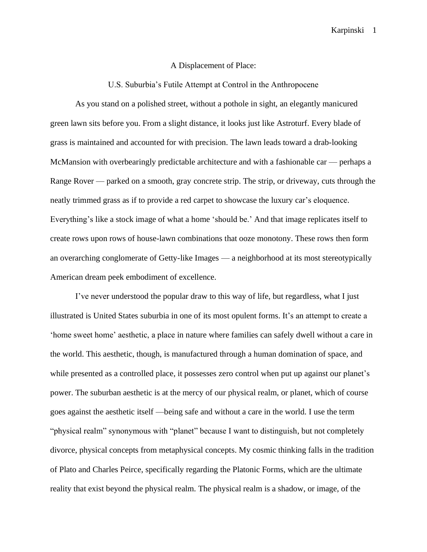## A Displacement of Place:

U.S. Suburbia's Futile Attempt at Control in the Anthropocene

As you stand on a polished street, without a pothole in sight, an elegantly manicured green lawn sits before you. From a slight distance, it looks just like Astroturf. Every blade of grass is maintained and accounted for with precision. The lawn leads toward a drab-looking McMansion with overbearingly predictable architecture and with a fashionable car — perhaps a Range Rover — parked on a smooth, gray concrete strip. The strip, or driveway, cuts through the neatly trimmed grass as if to provide a red carpet to showcase the luxury car's eloquence. Everything's like a stock image of what a home 'should be.' And that image replicates itself to create rows upon rows of house-lawn combinations that ooze monotony. These rows then form an overarching conglomerate of Getty-like Images — a neighborhood at its most stereotypically American dream peek embodiment of excellence.

I've never understood the popular draw to this way of life, but regardless, what I just illustrated is United States suburbia in one of its most opulent forms. It's an attempt to create a 'home sweet home' aesthetic, a place in nature where families can safely dwell without a care in the world. This aesthetic, though, is manufactured through a human domination of space, and while presented as a controlled place, it possesses zero control when put up against our planet's power. The suburban aesthetic is at the mercy of our physical realm, or planet, which of course goes against the aesthetic itself —being safe and without a care in the world. I use the term "physical realm" synonymous with "planet" because I want to distinguish, but not completely divorce, physical concepts from metaphysical concepts. My cosmic thinking falls in the tradition of Plato and Charles Peirce, specifically regarding the Platonic Forms, which are the ultimate reality that exist beyond the physical realm. The physical realm is a shadow, or image, of the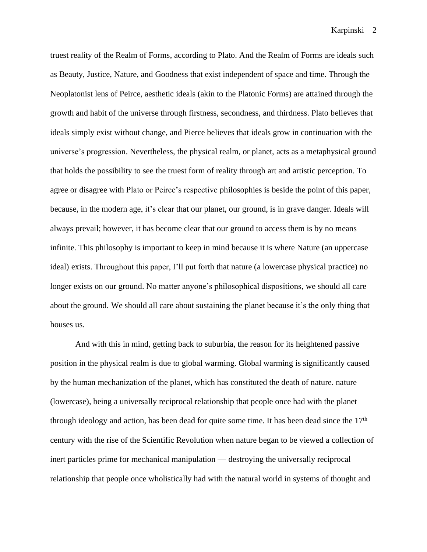truest reality of the Realm of Forms, according to Plato. And the Realm of Forms are ideals such as Beauty, Justice, Nature, and Goodness that exist independent of space and time. Through the Neoplatonist lens of Peirce, aesthetic ideals (akin to the Platonic Forms) are attained through the growth and habit of the universe through firstness, secondness, and thirdness. Plato believes that ideals simply exist without change, and Pierce believes that ideals grow in continuation with the universe's progression. Nevertheless, the physical realm, or planet, acts as a metaphysical ground that holds the possibility to see the truest form of reality through art and artistic perception. To agree or disagree with Plato or Peirce's respective philosophies is beside the point of this paper, because, in the modern age, it's clear that our planet, our ground, is in grave danger. Ideals will always prevail; however, it has become clear that our ground to access them is by no means infinite. This philosophy is important to keep in mind because it is where Nature (an uppercase ideal) exists. Throughout this paper, I'll put forth that nature (a lowercase physical practice) no longer exists on our ground. No matter anyone's philosophical dispositions, we should all care about the ground. We should all care about sustaining the planet because it's the only thing that houses us.

And with this in mind, getting back to suburbia, the reason for its heightened passive position in the physical realm is due to global warming. Global warming is significantly caused by the human mechanization of the planet, which has constituted the death of nature. nature (lowercase), being a universally reciprocal relationship that people once had with the planet through ideology and action, has been dead for quite some time. It has been dead since the  $17<sup>th</sup>$ century with the rise of the Scientific Revolution when nature began to be viewed a collection of inert particles prime for mechanical manipulation — destroying the universally reciprocal relationship that people once wholistically had with the natural world in systems of thought and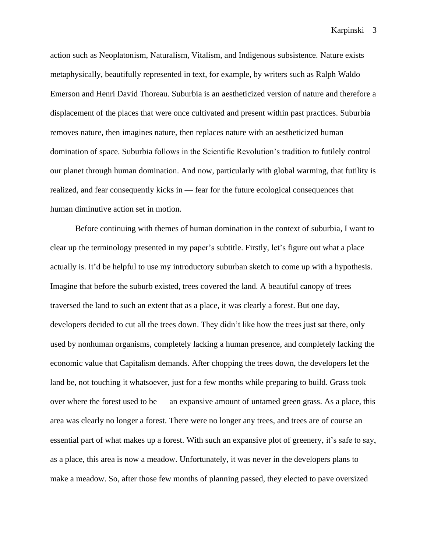action such as Neoplatonism, Naturalism, Vitalism, and Indigenous subsistence. Nature exists metaphysically, beautifully represented in text, for example, by writers such as Ralph Waldo Emerson and Henri David Thoreau. Suburbia is an aestheticized version of nature and therefore a displacement of the places that were once cultivated and present within past practices. Suburbia removes nature, then imagines nature, then replaces nature with an aestheticized human domination of space. Suburbia follows in the Scientific Revolution's tradition to futilely control our planet through human domination. And now, particularly with global warming, that futility is realized, and fear consequently kicks in — fear for the future ecological consequences that human diminutive action set in motion.

Before continuing with themes of human domination in the context of suburbia, I want to clear up the terminology presented in my paper's subtitle. Firstly, let's figure out what a place actually is. It'd be helpful to use my introductory suburban sketch to come up with a hypothesis. Imagine that before the suburb existed, trees covered the land. A beautiful canopy of trees traversed the land to such an extent that as a place, it was clearly a forest. But one day, developers decided to cut all the trees down. They didn't like how the trees just sat there, only used by nonhuman organisms, completely lacking a human presence, and completely lacking the economic value that Capitalism demands. After chopping the trees down, the developers let the land be, not touching it whatsoever, just for a few months while preparing to build. Grass took over where the forest used to be — an expansive amount of untamed green grass. As a place, this area was clearly no longer a forest. There were no longer any trees, and trees are of course an essential part of what makes up a forest. With such an expansive plot of greenery, it's safe to say, as a place, this area is now a meadow. Unfortunately, it was never in the developers plans to make a meadow. So, after those few months of planning passed, they elected to pave oversized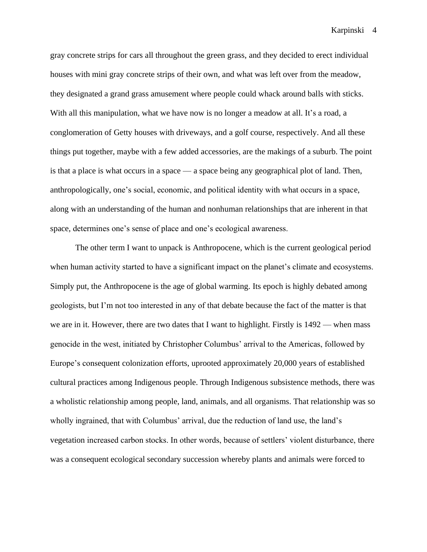gray concrete strips for cars all throughout the green grass, and they decided to erect individual houses with mini gray concrete strips of their own, and what was left over from the meadow, they designated a grand grass amusement where people could whack around balls with sticks. With all this manipulation, what we have now is no longer a meadow at all. It's a road, a conglomeration of Getty houses with driveways, and a golf course, respectively. And all these things put together, maybe with a few added accessories, are the makings of a suburb. The point is that a place is what occurs in a space — a space being any geographical plot of land. Then, anthropologically, one's social, economic, and political identity with what occurs in a space, along with an understanding of the human and nonhuman relationships that are inherent in that space, determines one's sense of place and one's ecological awareness.

The other term I want to unpack is Anthropocene, which is the current geological period when human activity started to have a significant impact on the planet's climate and ecosystems. Simply put, the Anthropocene is the age of global warming. Its epoch is highly debated among geologists, but I'm not too interested in any of that debate because the fact of the matter is that we are in it. However, there are two dates that I want to highlight. Firstly is  $1492$  — when mass genocide in the west, initiated by Christopher Columbus' arrival to the Americas, followed by Europe's consequent colonization efforts, uprooted approximately 20,000 years of established cultural practices among Indigenous people. Through Indigenous subsistence methods, there was a wholistic relationship among people, land, animals, and all organisms. That relationship was so wholly ingrained, that with Columbus' arrival, due the reduction of land use, the land's vegetation increased carbon stocks. In other words, because of settlers' violent disturbance, there was a consequent ecological secondary succession whereby plants and animals were forced to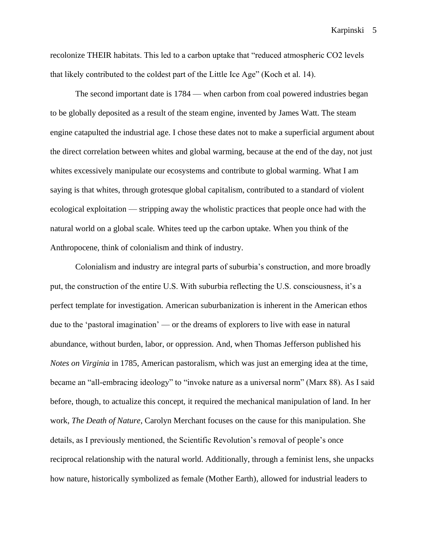recolonize THEIR habitats. This led to a carbon uptake that "reduced atmospheric CO2 levels that likely contributed to the coldest part of the Little Ice Age" (Koch et al. 14).

The second important date is 1784 — when carbon from coal powered industries began to be globally deposited as a result of the steam engine, invented by James Watt. The steam engine catapulted the industrial age. I chose these dates not to make a superficial argument about the direct correlation between whites and global warming, because at the end of the day, not just whites excessively manipulate our ecosystems and contribute to global warming. What I am saying is that whites, through grotesque global capitalism, contributed to a standard of violent ecological exploitation — stripping away the wholistic practices that people once had with the natural world on a global scale. Whites teed up the carbon uptake. When you think of the Anthropocene, think of colonialism and think of industry.

Colonialism and industry are integral parts of suburbia's construction, and more broadly put, the construction of the entire U.S. With suburbia reflecting the U.S. consciousness, it's a perfect template for investigation. American suburbanization is inherent in the American ethos due to the 'pastoral imagination' — or the dreams of explorers to live with ease in natural abundance, without burden, labor, or oppression. And, when Thomas Jefferson published his *Notes on Virginia* in 1785, American pastoralism, which was just an emerging idea at the time, became an "all-embracing ideology" to "invoke nature as a universal norm" (Marx 88). As I said before, though, to actualize this concept, it required the mechanical manipulation of land. In her work, *The Death of Nature*, Carolyn Merchant focuses on the cause for this manipulation. She details, as I previously mentioned, the Scientific Revolution's removal of people's once reciprocal relationship with the natural world. Additionally, through a feminist lens, she unpacks how nature, historically symbolized as female (Mother Earth), allowed for industrial leaders to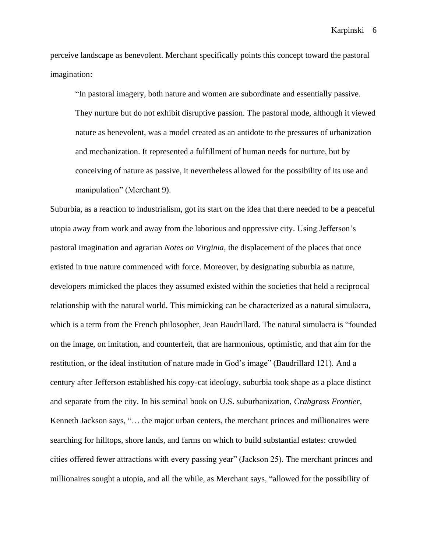perceive landscape as benevolent. Merchant specifically points this concept toward the pastoral imagination:

"In pastoral imagery, both nature and women are subordinate and essentially passive. They nurture but do not exhibit disruptive passion. The pastoral mode, although it viewed nature as benevolent, was a model created as an antidote to the pressures of urbanization and mechanization. It represented a fulfillment of human needs for nurture, but by conceiving of nature as passive, it nevertheless allowed for the possibility of its use and manipulation" (Merchant 9).

Suburbia, as a reaction to industrialism, got its start on the idea that there needed to be a peaceful utopia away from work and away from the laborious and oppressive city. Using Jefferson's pastoral imagination and agrarian *Notes on Virginia*, the displacement of the places that once existed in true nature commenced with force. Moreover, by designating suburbia as nature, developers mimicked the places they assumed existed within the societies that held a reciprocal relationship with the natural world. This mimicking can be characterized as a natural simulacra, which is a term from the French philosopher, Jean Baudrillard. The natural simulacra is "founded on the image, on imitation, and counterfeit, that are harmonious, optimistic, and that aim for the restitution, or the ideal institution of nature made in God's image" (Baudrillard 121). And a century after Jefferson established his copy-cat ideology, suburbia took shape as a place distinct and separate from the city. In his seminal book on U.S. suburbanization, *Crabgrass Frontier*, Kenneth Jackson says, "… the major urban centers, the merchant princes and millionaires were searching for hilltops, shore lands, and farms on which to build substantial estates: crowded cities offered fewer attractions with every passing year" (Jackson 25). The merchant princes and millionaires sought a utopia, and all the while, as Merchant says, "allowed for the possibility of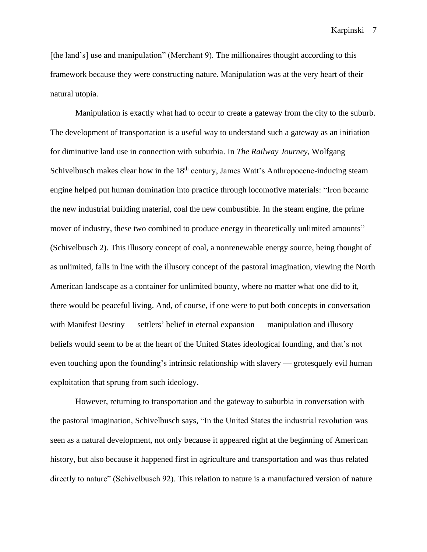[the land's] use and manipulation" (Merchant 9). The millionaires thought according to this framework because they were constructing nature. Manipulation was at the very heart of their natural utopia.

Manipulation is exactly what had to occur to create a gateway from the city to the suburb. The development of transportation is a useful way to understand such a gateway as an initiation for diminutive land use in connection with suburbia. In *The Railway Journey*, Wolfgang Schivelbusch makes clear how in the 18<sup>th</sup> century, James Watt's Anthropocene-inducing steam engine helped put human domination into practice through locomotive materials: "Iron became the new industrial building material, coal the new combustible. In the steam engine, the prime mover of industry, these two combined to produce energy in theoretically unlimited amounts" (Schivelbusch 2). This illusory concept of coal, a nonrenewable energy source, being thought of as unlimited, falls in line with the illusory concept of the pastoral imagination, viewing the North American landscape as a container for unlimited bounty, where no matter what one did to it, there would be peaceful living. And, of course, if one were to put both concepts in conversation with Manifest Destiny — settlers' belief in eternal expansion — manipulation and illusory beliefs would seem to be at the heart of the United States ideological founding, and that's not even touching upon the founding's intrinsic relationship with slavery — grotesquely evil human exploitation that sprung from such ideology.

However, returning to transportation and the gateway to suburbia in conversation with the pastoral imagination, Schivelbusch says, "In the United States the industrial revolution was seen as a natural development, not only because it appeared right at the beginning of American history, but also because it happened first in agriculture and transportation and was thus related directly to nature" (Schivelbusch 92). This relation to nature is a manufactured version of nature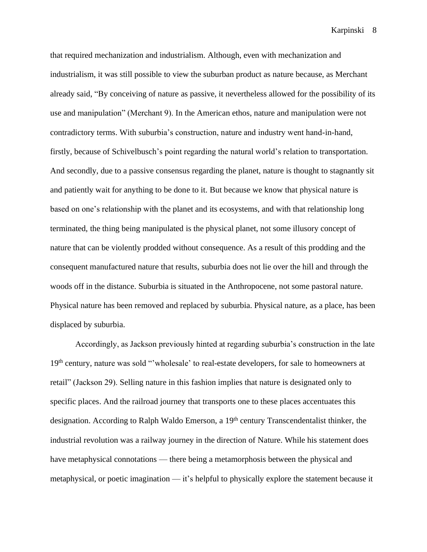that required mechanization and industrialism. Although, even with mechanization and industrialism, it was still possible to view the suburban product as nature because, as Merchant already said, "By conceiving of nature as passive, it nevertheless allowed for the possibility of its use and manipulation" (Merchant 9). In the American ethos, nature and manipulation were not contradictory terms. With suburbia's construction, nature and industry went hand-in-hand, firstly, because of Schivelbusch's point regarding the natural world's relation to transportation. And secondly, due to a passive consensus regarding the planet, nature is thought to stagnantly sit and patiently wait for anything to be done to it. But because we know that physical nature is based on one's relationship with the planet and its ecosystems, and with that relationship long terminated, the thing being manipulated is the physical planet, not some illusory concept of nature that can be violently prodded without consequence. As a result of this prodding and the consequent manufactured nature that results, suburbia does not lie over the hill and through the woods off in the distance. Suburbia is situated in the Anthropocene, not some pastoral nature. Physical nature has been removed and replaced by suburbia. Physical nature, as a place, has been displaced by suburbia.

Accordingly, as Jackson previously hinted at regarding suburbia's construction in the late 19<sup>th</sup> century, nature was sold "'wholesale' to real-estate developers, for sale to homeowners at retail" (Jackson 29). Selling nature in this fashion implies that nature is designated only to specific places. And the railroad journey that transports one to these places accentuates this designation. According to Ralph Waldo Emerson, a 19<sup>th</sup> century Transcendentalist thinker, the industrial revolution was a railway journey in the direction of Nature. While his statement does have metaphysical connotations — there being a metamorphosis between the physical and metaphysical, or poetic imagination — it's helpful to physically explore the statement because it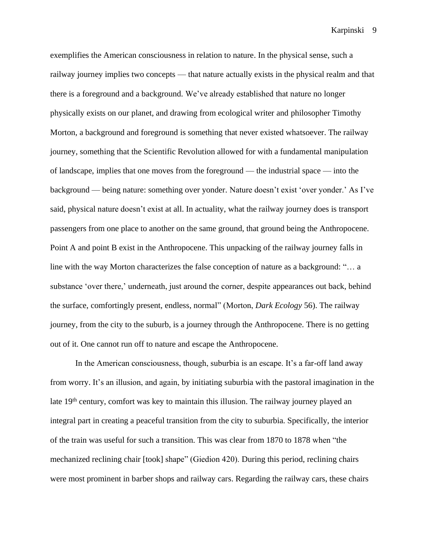exemplifies the American consciousness in relation to nature. In the physical sense, such a railway journey implies two concepts — that nature actually exists in the physical realm and that there is a foreground and a background. We've already established that nature no longer physically exists on our planet, and drawing from ecological writer and philosopher Timothy Morton, a background and foreground is something that never existed whatsoever. The railway journey, something that the Scientific Revolution allowed for with a fundamental manipulation of landscape, implies that one moves from the foreground — the industrial space — into the background — being nature: something over yonder. Nature doesn't exist 'over yonder.' As I've said, physical nature doesn't exist at all. In actuality, what the railway journey does is transport passengers from one place to another on the same ground, that ground being the Anthropocene. Point A and point B exist in the Anthropocene. This unpacking of the railway journey falls in line with the way Morton characterizes the false conception of nature as a background: "… a substance 'over there,' underneath, just around the corner, despite appearances out back, behind the surface, comfortingly present, endless, normal" (Morton, *Dark Ecology* 56). The railway journey, from the city to the suburb, is a journey through the Anthropocene. There is no getting out of it. One cannot run off to nature and escape the Anthropocene.

In the American consciousness, though, suburbia is an escape. It's a far-off land away from worry. It's an illusion, and again, by initiating suburbia with the pastoral imagination in the late 19<sup>th</sup> century, comfort was key to maintain this illusion. The railway journey played an integral part in creating a peaceful transition from the city to suburbia. Specifically, the interior of the train was useful for such a transition. This was clear from 1870 to 1878 when "the mechanized reclining chair [took] shape" (Giedion 420). During this period, reclining chairs were most prominent in barber shops and railway cars. Regarding the railway cars, these chairs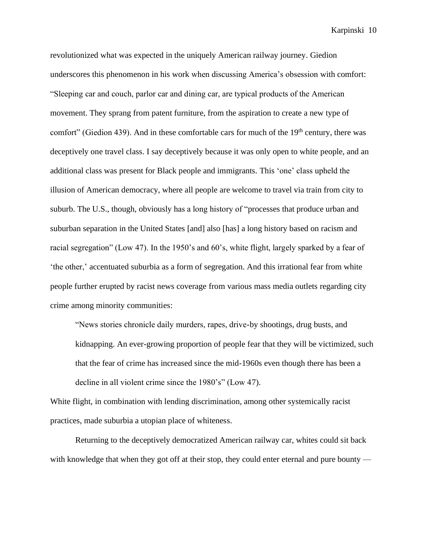revolutionized what was expected in the uniquely American railway journey. Giedion underscores this phenomenon in his work when discussing America's obsession with comfort: "Sleeping car and couch, parlor car and dining car, are typical products of the American movement. They sprang from patent furniture, from the aspiration to create a new type of comfort" (Giedion 439). And in these comfortable cars for much of the  $19<sup>th</sup>$  century, there was deceptively one travel class. I say deceptively because it was only open to white people, and an additional class was present for Black people and immigrants. This 'one' class upheld the illusion of American democracy, where all people are welcome to travel via train from city to suburb. The U.S., though, obviously has a long history of "processes that produce urban and suburban separation in the United States [and] also [has] a long history based on racism and racial segregation" (Low 47). In the 1950's and 60's, white flight, largely sparked by a fear of 'the other,' accentuated suburbia as a form of segregation. And this irrational fear from white people further erupted by racist news coverage from various mass media outlets regarding city crime among minority communities:

"News stories chronicle daily murders, rapes, drive-by shootings, drug busts, and kidnapping. An ever-growing proportion of people fear that they will be victimized, such that the fear of crime has increased since the mid-1960s even though there has been a decline in all violent crime since the 1980's" (Low 47).

White flight, in combination with lending discrimination, among other systemically racist practices, made suburbia a utopian place of whiteness.

Returning to the deceptively democratized American railway car, whites could sit back with knowledge that when they got off at their stop, they could enter eternal and pure bounty —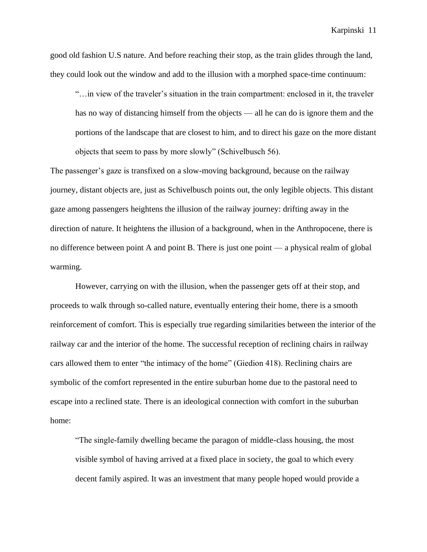good old fashion U.S nature. And before reaching their stop, as the train glides through the land, they could look out the window and add to the illusion with a morphed space-time continuum:

"…in view of the traveler's situation in the train compartment: enclosed in it, the traveler has no way of distancing himself from the objects — all he can do is ignore them and the portions of the landscape that are closest to him, and to direct his gaze on the more distant objects that seem to pass by more slowly" (Schivelbusch 56).

The passenger's gaze is transfixed on a slow-moving background, because on the railway journey, distant objects are, just as Schivelbusch points out, the only legible objects. This distant gaze among passengers heightens the illusion of the railway journey: drifting away in the direction of nature. It heightens the illusion of a background, when in the Anthropocene, there is no difference between point A and point B. There is just one point — a physical realm of global warming.

However, carrying on with the illusion, when the passenger gets off at their stop, and proceeds to walk through so-called nature, eventually entering their home, there is a smooth reinforcement of comfort. This is especially true regarding similarities between the interior of the railway car and the interior of the home. The successful reception of reclining chairs in railway cars allowed them to enter "the intimacy of the home" (Giedion 418). Reclining chairs are symbolic of the comfort represented in the entire suburban home due to the pastoral need to escape into a reclined state. There is an ideological connection with comfort in the suburban home:

"The single-family dwelling became the paragon of middle-class housing, the most visible symbol of having arrived at a fixed place in society, the goal to which every decent family aspired. It was an investment that many people hoped would provide a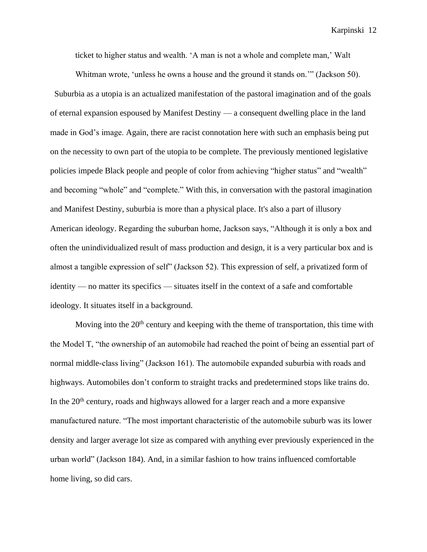ticket to higher status and wealth. 'A man is not a whole and complete man,' Walt

Whitman wrote, 'unless he owns a house and the ground it stands on.'" (Jackson 50). Suburbia as a utopia is an actualized manifestation of the pastoral imagination and of the goals of eternal expansion espoused by Manifest Destiny — a consequent dwelling place in the land made in God's image. Again, there are racist connotation here with such an emphasis being put on the necessity to own part of the utopia to be complete. The previously mentioned legislative policies impede Black people and people of color from achieving "higher status" and "wealth" and becoming "whole" and "complete." With this, in conversation with the pastoral imagination and Manifest Destiny, suburbia is more than a physical place. It's also a part of illusory American ideology. Regarding the suburban home, Jackson says, "Although it is only a box and often the unindividualized result of mass production and design, it is a very particular box and is almost a tangible expression of self" (Jackson 52). This expression of self, a privatized form of identity — no matter its specifics — situates itself in the context of a safe and comfortable ideology. It situates itself in a background.

Moving into the 20<sup>th</sup> century and keeping with the theme of transportation, this time with the Model T, "the ownership of an automobile had reached the point of being an essential part of normal middle-class living" (Jackson 161). The automobile expanded suburbia with roads and highways. Automobiles don't conform to straight tracks and predetermined stops like trains do. In the  $20<sup>th</sup>$  century, roads and highways allowed for a larger reach and a more expansive manufactured nature. "The most important characteristic of the automobile suburb was its lower density and larger average lot size as compared with anything ever previously experienced in the urban world" (Jackson 184). And, in a similar fashion to how trains influenced comfortable home living, so did cars.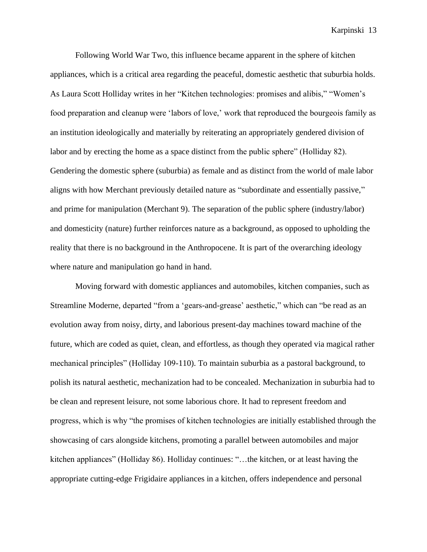Following World War Two, this influence became apparent in the sphere of kitchen appliances, which is a critical area regarding the peaceful, domestic aesthetic that suburbia holds. As Laura Scott Holliday writes in her "Kitchen technologies: promises and alibis," "Women's food preparation and cleanup were 'labors of love,' work that reproduced the bourgeois family as an institution ideologically and materially by reiterating an appropriately gendered division of labor and by erecting the home as a space distinct from the public sphere" (Holliday 82). Gendering the domestic sphere (suburbia) as female and as distinct from the world of male labor aligns with how Merchant previously detailed nature as "subordinate and essentially passive," and prime for manipulation (Merchant 9). The separation of the public sphere (industry/labor) and domesticity (nature) further reinforces nature as a background, as opposed to upholding the reality that there is no background in the Anthropocene. It is part of the overarching ideology where nature and manipulation go hand in hand.

Moving forward with domestic appliances and automobiles, kitchen companies, such as Streamline Moderne, departed "from a 'gears-and-grease' aesthetic," which can "be read as an evolution away from noisy, dirty, and laborious present-day machines toward machine of the future, which are coded as quiet, clean, and effortless, as though they operated via magical rather mechanical principles" (Holliday 109-110). To maintain suburbia as a pastoral background, to polish its natural aesthetic, mechanization had to be concealed. Mechanization in suburbia had to be clean and represent leisure, not some laborious chore. It had to represent freedom and progress, which is why "the promises of kitchen technologies are initially established through the showcasing of cars alongside kitchens, promoting a parallel between automobiles and major kitchen appliances" (Holliday 86). Holliday continues: "…the kitchen, or at least having the appropriate cutting-edge Frigidaire appliances in a kitchen, offers independence and personal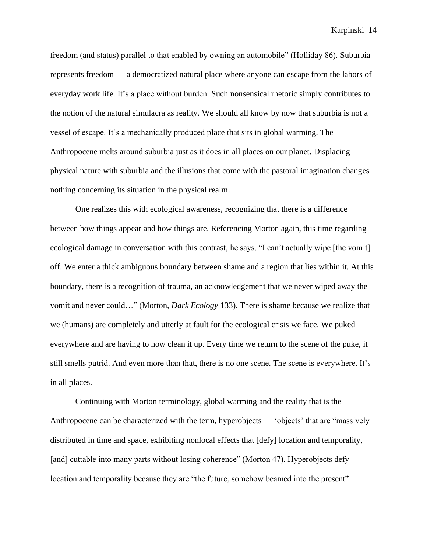freedom (and status) parallel to that enabled by owning an automobile" (Holliday 86). Suburbia represents freedom — a democratized natural place where anyone can escape from the labors of everyday work life. It's a place without burden. Such nonsensical rhetoric simply contributes to the notion of the natural simulacra as reality. We should all know by now that suburbia is not a vessel of escape. It's a mechanically produced place that sits in global warming. The Anthropocene melts around suburbia just as it does in all places on our planet. Displacing physical nature with suburbia and the illusions that come with the pastoral imagination changes nothing concerning its situation in the physical realm.

One realizes this with ecological awareness, recognizing that there is a difference between how things appear and how things are. Referencing Morton again, this time regarding ecological damage in conversation with this contrast, he says, "I can't actually wipe [the vomit] off. We enter a thick ambiguous boundary between shame and a region that lies within it. At this boundary, there is a recognition of trauma, an acknowledgement that we never wiped away the vomit and never could…" (Morton, *Dark Ecology* 133). There is shame because we realize that we (humans) are completely and utterly at fault for the ecological crisis we face. We puked everywhere and are having to now clean it up. Every time we return to the scene of the puke, it still smells putrid. And even more than that, there is no one scene. The scene is everywhere. It's in all places.

Continuing with Morton terminology, global warming and the reality that is the Anthropocene can be characterized with the term, hyperobjects — 'objects' that are "massively distributed in time and space, exhibiting nonlocal effects that [defy] location and temporality, [and] cuttable into many parts without losing coherence" (Morton 47). Hyperobjects defy location and temporality because they are "the future, somehow beamed into the present"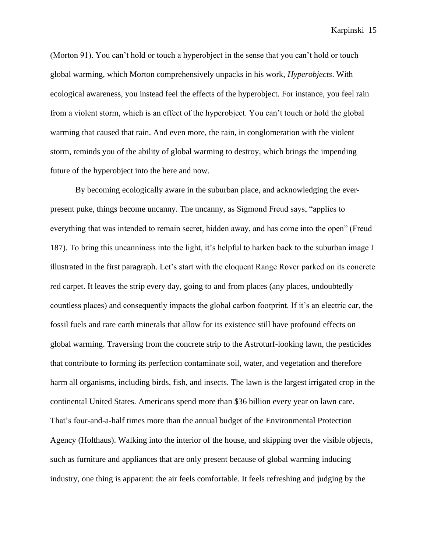(Morton 91). You can't hold or touch a hyperobject in the sense that you can't hold or touch global warming, which Morton comprehensively unpacks in his work, *Hyperobjects*. With ecological awareness, you instead feel the effects of the hyperobject. For instance, you feel rain from a violent storm, which is an effect of the hyperobject. You can't touch or hold the global warming that caused that rain. And even more, the rain, in conglomeration with the violent storm, reminds you of the ability of global warming to destroy, which brings the impending future of the hyperobject into the here and now.

By becoming ecologically aware in the suburban place, and acknowledging the everpresent puke, things become uncanny. The uncanny, as Sigmond Freud says, "applies to everything that was intended to remain secret, hidden away, and has come into the open" (Freud 187). To bring this uncanniness into the light, it's helpful to harken back to the suburban image I illustrated in the first paragraph. Let's start with the eloquent Range Rover parked on its concrete red carpet. It leaves the strip every day, going to and from places (any places, undoubtedly countless places) and consequently impacts the global carbon footprint. If it's an electric car, the fossil fuels and rare earth minerals that allow for its existence still have profound effects on global warming. Traversing from the concrete strip to the Astroturf-looking lawn, the pesticides that contribute to forming its perfection contaminate soil, water, and vegetation and therefore harm all organisms, including birds, fish, and insects. The lawn is the largest irrigated crop in the continental United States. Americans spend more than \$36 billion every year on lawn care. That's four-and-a-half times more than the annual budget of the Environmental Protection Agency (Holthaus). Walking into the interior of the house, and skipping over the visible objects, such as furniture and appliances that are only present because of global warming inducing industry, one thing is apparent: the air feels comfortable. It feels refreshing and judging by the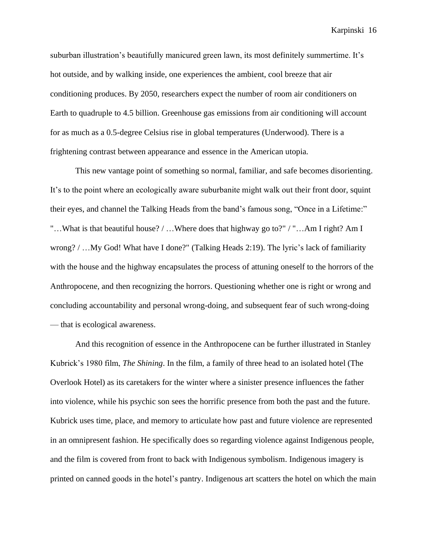suburban illustration's beautifully manicured green lawn, its most definitely summertime. It's hot outside, and by walking inside, one experiences the ambient, cool breeze that air conditioning produces. By 2050, researchers expect the number of room air conditioners on Earth to quadruple to 4.5 billion. Greenhouse gas emissions from air conditioning will account for as much as a 0.5-degree Celsius rise in global temperatures (Underwood). There is a frightening contrast between appearance and essence in the American utopia.

This new vantage point of something so normal, familiar, and safe becomes disorienting. It's to the point where an ecologically aware suburbanite might walk out their front door, squint their eyes, and channel the Talking Heads from the band's famous song, "Once in a Lifetime:" "…What is that beautiful house? / …Where does that highway go to?" / "…Am I right? Am I wrong? / …My God! What have I done?" (Talking Heads 2:19). The lyric's lack of familiarity with the house and the highway encapsulates the process of attuning oneself to the horrors of the Anthropocene, and then recognizing the horrors. Questioning whether one is right or wrong and concluding accountability and personal wrong-doing, and subsequent fear of such wrong-doing — that is ecological awareness.

And this recognition of essence in the Anthropocene can be further illustrated in Stanley Kubrick's 1980 film, *The Shining*. In the film, a family of three head to an isolated hotel (The Overlook Hotel) as its caretakers for the winter where a sinister presence influences the father into violence, while his psychic son sees the horrific presence from both the past and the future. Kubrick uses time, place, and memory to articulate how past and future violence are represented in an omnipresent fashion. He specifically does so regarding violence against Indigenous people, and the film is covered from front to back with Indigenous symbolism. Indigenous imagery is printed on canned goods in the hotel's pantry. Indigenous art scatters the hotel on which the main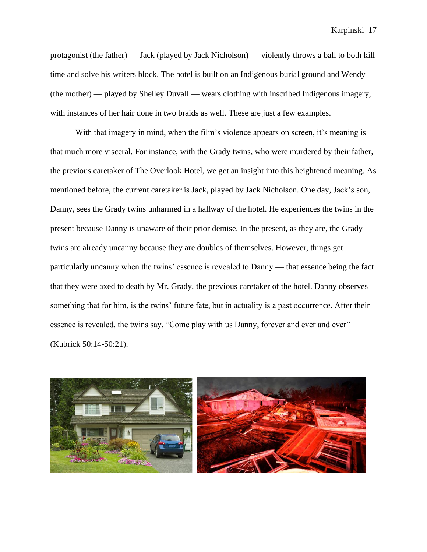protagonist (the father) — Jack (played by Jack Nicholson) — violently throws a ball to both kill time and solve his writers block. The hotel is built on an Indigenous burial ground and Wendy (the mother) — played by Shelley Duvall — wears clothing with inscribed Indigenous imagery, with instances of her hair done in two braids as well. These are just a few examples.

With that imagery in mind, when the film's violence appears on screen, it's meaning is that much more visceral. For instance, with the Grady twins, who were murdered by their father, the previous caretaker of The Overlook Hotel, we get an insight into this heightened meaning. As mentioned before, the current caretaker is Jack, played by Jack Nicholson. One day, Jack's son, Danny, sees the Grady twins unharmed in a hallway of the hotel. He experiences the twins in the present because Danny is unaware of their prior demise. In the present, as they are, the Grady twins are already uncanny because they are doubles of themselves. However, things get particularly uncanny when the twins' essence is revealed to Danny — that essence being the fact that they were axed to death by Mr. Grady, the previous caretaker of the hotel. Danny observes something that for him, is the twins' future fate, but in actuality is a past occurrence. After their essence is revealed, the twins say, "Come play with us Danny, forever and ever and ever" (Kubrick 50:14-50:21).

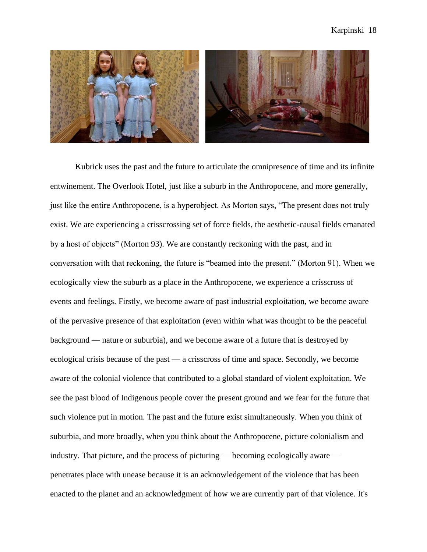

Kubrick uses the past and the future to articulate the omnipresence of time and its infinite entwinement. The Overlook Hotel, just like a suburb in the Anthropocene, and more generally, just like the entire Anthropocene, is a hyperobject. As Morton says, "The present does not truly exist. We are experiencing a crisscrossing set of force fields, the aesthetic-causal fields emanated by a host of objects" (Morton 93). We are constantly reckoning with the past, and in conversation with that reckoning, the future is "beamed into the present." (Morton 91). When we ecologically view the suburb as a place in the Anthropocene, we experience a crisscross of events and feelings. Firstly, we become aware of past industrial exploitation, we become aware of the pervasive presence of that exploitation (even within what was thought to be the peaceful background — nature or suburbia), and we become aware of a future that is destroyed by ecological crisis because of the past — a crisscross of time and space. Secondly, we become aware of the colonial violence that contributed to a global standard of violent exploitation. We see the past blood of Indigenous people cover the present ground and we fear for the future that such violence put in motion. The past and the future exist simultaneously. When you think of suburbia, and more broadly, when you think about the Anthropocene, picture colonialism and industry. That picture, and the process of picturing — becoming ecologically aware penetrates place with unease because it is an acknowledgement of the violence that has been enacted to the planet and an acknowledgment of how we are currently part of that violence. It's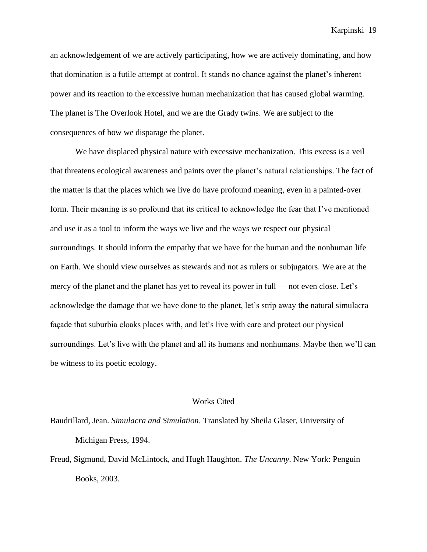an acknowledgement of we are actively participating, how we are actively dominating, and how that domination is a futile attempt at control. It stands no chance against the planet's inherent power and its reaction to the excessive human mechanization that has caused global warming. The planet is The Overlook Hotel, and we are the Grady twins. We are subject to the consequences of how we disparage the planet.

We have displaced physical nature with excessive mechanization. This excess is a veil that threatens ecological awareness and paints over the planet's natural relationships. The fact of the matter is that the places which we live do have profound meaning, even in a painted-over form. Their meaning is so profound that its critical to acknowledge the fear that I've mentioned and use it as a tool to inform the ways we live and the ways we respect our physical surroundings. It should inform the empathy that we have for the human and the nonhuman life on Earth. We should view ourselves as stewards and not as rulers or subjugators. We are at the mercy of the planet and the planet has yet to reveal its power in full — not even close. Let's acknowledge the damage that we have done to the planet, let's strip away the natural simulacra façade that suburbia cloaks places with, and let's live with care and protect our physical surroundings. Let's live with the planet and all its humans and nonhumans. Maybe then we'll can be witness to its poetic ecology.

## Works Cited

Baudrillard, Jean. *Simulacra and Simulation*. Translated by Sheila Glaser, University of Michigan Press, 1994.

Freud, Sigmund, David McLintock, and Hugh Haughton. *The Uncanny*. New York: Penguin Books, 2003.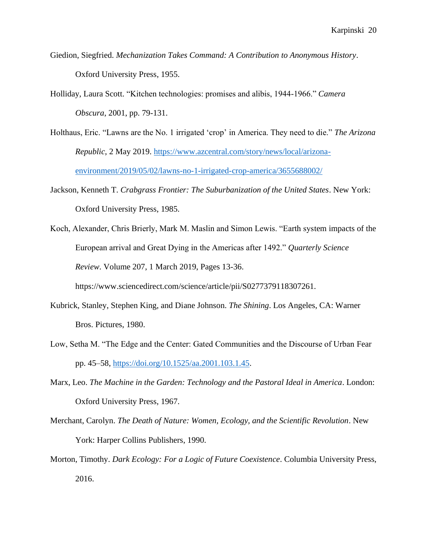- Giedion, Siegfried. *Mechanization Takes Command: A Contribution to Anonymous History*. Oxford University Press, 1955.
- Holliday, Laura Scott. "Kitchen technologies: promises and alibis, 1944-1966." *Camera Obscura*, 2001, pp. 79-131.
- Holthaus, Eric. "Lawns are the No. 1 irrigated 'crop' in America. They need to die." *The Arizona Republic*, 2 May 2019. [https://www.azcentral.com/story/news/local/arizona](https://www.azcentral.com/story/news/local/arizona-%09environment/2019/05/02/lawns-no-1-irrigated-crop-america/3655688002/)[environment/2019/05/02/lawns-no-1-irrigated-crop-america/3655688002/](https://www.azcentral.com/story/news/local/arizona-%09environment/2019/05/02/lawns-no-1-irrigated-crop-america/3655688002/)
- Jackson, Kenneth T. *Crabgrass Frontier: The Suburbanization of the United States*. New York: Oxford University Press, 1985.
- Koch, Alexander, Chris Brierly, Mark M. Maslin and Simon Lewis. "Earth system impacts of the European arrival and Great Dying in the Americas after 1492." *Quarterly Science Review*. Volume 207, 1 March 2019, Pages 13-36.

https://www.sciencedirect.com/science/article/pii/S0277379118307261.

- Kubrick, Stanley, Stephen King, and Diane Johnson. *The Shining*. Los Angeles, CA: Warner Bros. Pictures, 1980.
- Low, Setha M. "The Edge and the Center: Gated Communities and the Discourse of Urban Fear pp. 45–58, [https://doi.org/10.1525/aa.2001.103.1.45.](https://doi.org/10.1525/aa.2001.103.1.45)
- Marx, Leo. *The Machine in the Garden: Technology and the Pastoral Ideal in America*. London: Oxford University Press, 1967.
- Merchant, Carolyn. *The Death of Nature: Women, Ecology, and the Scientific Revolution*. New York: Harper Collins Publishers, 1990.
- Morton, Timothy. *Dark Ecology: For a Logic of Future Coexistence*. Columbia University Press, 2016.